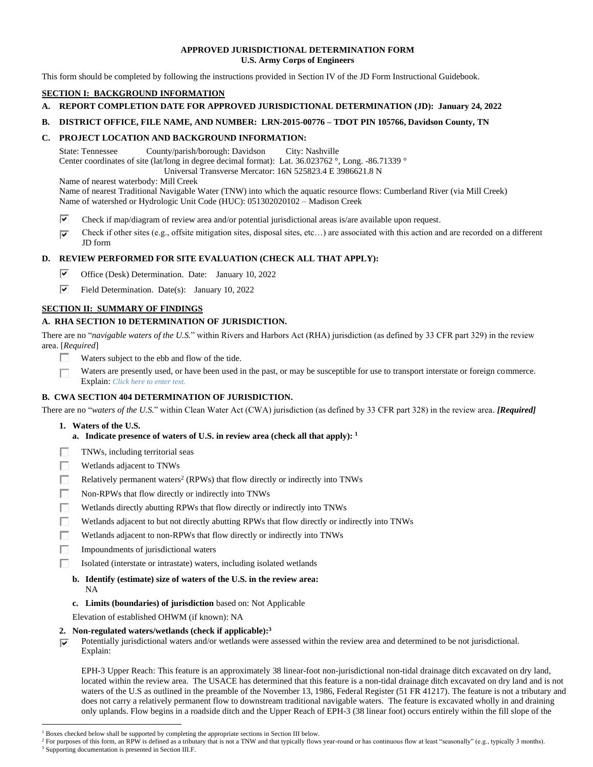#### **APPROVED JURISDICTIONAL DETERMINATION FORM U.S. Army Corps of Engineers**

This form should be completed by following the instructions provided in Section IV of the JD Form Instructional Guidebook.

## **SECTION I: BACKGROUND INFORMATION**

- **A. REPORT COMPLETION DATE FOR APPROVED JURISDICTIONAL DETERMINATION (JD): January 24, 2022**
- **B. DISTRICT OFFICE, FILE NAME, AND NUMBER: LRN-2015-00776 – TDOT PIN 105766, Davidson County, TN**

#### **C. PROJECT LOCATION AND BACKGROUND INFORMATION:**

State: Tennessee County/parish/borough: Davidson City: Nashville Center coordinates of site (lat/long in degree decimal format): Lat. 36.023762 °, Long. -86.71339 °

Universal Transverse Mercator: 16N 525823.4 E 3986621.8 N

Name of nearest waterbody: Mill Creek

- Name of nearest Traditional Navigable Water (TNW) into which the aquatic resource flows: Cumberland River (via Mill Creek) Name of watershed or Hydrologic Unit Code (HUC): 051302020102 – Madison Creek
- ⊽ Check if map/diagram of review area and/or potential jurisdictional areas is/are available upon request.
- Check if other sites (e.g., offsite mitigation sites, disposal sites, etc…) are associated with this action and are recorded on a different  $\overline{\mathbf{v}}$ JD form

## **D. REVIEW PERFORMED FOR SITE EVALUATION (CHECK ALL THAT APPLY):**

- ⊽ Office (Desk) Determination. Date: January 10, 2022
- ⊽ Field Determination. Date(s): January 10, 2022

## **SECTION II: SUMMARY OF FINDINGS**

## **A. RHA SECTION 10 DETERMINATION OF JURISDICTION.**

There are no "*navigable waters of the U.S.*" within Rivers and Harbors Act (RHA) jurisdiction (as defined by 33 CFR part 329) in the review area. [*Required*]

- $\Box$ Waters subject to the ebb and flow of the tide.
- Waters are presently used, or have been used in the past, or may be susceptible for use to transport interstate or foreign commerce. П Explain: *Click here to enter text.*

## **B. CWA SECTION 404 DETERMINATION OF JURISDICTION.**

There are no "*waters of the U.S.*" within Clean Water Act (CWA) jurisdiction (as defined by 33 CFR part 328) in the review area. *[Required]*

- **1. Waters of the U.S.**
	- **a. Indicate presence of waters of U.S. in review area (check all that apply): 1**
- TNWs, including territorial seas П
- п Wetlands adjacent to TNWs
- П Relatively permanent waters<sup>2</sup> (RPWs) that flow directly or indirectly into TNWs
- П Non-RPWs that flow directly or indirectly into TNWs
- Wetlands directly abutting RPWs that flow directly or indirectly into TNWs Е
- Wetlands adjacent to but not directly abutting RPWs that flow directly or indirectly into TNWs
- Wetlands adjacent to non-RPWs that flow directly or indirectly into TNWs п
- Impoundments of jurisdictional waters
	- Isolated (interstate or intrastate) waters, including isolated wetlands
	- **b. Identify (estimate) size of waters of the U.S. in the review area:** NA
	- **c. Limits (boundaries) of jurisdiction** based on: Not Applicable

Elevation of established OHWM (if known): NA

- **2. Non-regulated waters/wetlands (check if applicable): 3**
- Potentially jurisdictional waters and/or wetlands were assessed within the review area and determined to be not jurisdictional. ☞ Explain:

EPH-3 Upper Reach: This feature is an approximately 38 linear-foot non-jurisdictional non-tidal drainage ditch excavated on dry land, located within the review area. The USACE has determined that this feature is a non-tidal drainage ditch excavated on dry land and is not waters of the U.S as outlined in the preamble of the November 13, 1986, Federal Register (51 FR 41217). The feature is not a tributary and does not carry a relatively permanent flow to downstream traditional navigable waters. The feature is excavated wholly in and draining only uplands. Flow begins in a roadside ditch and the Upper Reach of EPH-3 (38 linear foot) occurs entirely within the fill slope of the

<sup>&</sup>lt;sup>1</sup> Boxes checked below shall be supported by completing the appropriate sections in Section III below.

<sup>&</sup>lt;sup>2</sup> For purposes of this form, an RPW is defined as a tributary that is not a TNW and that typically flows year-round or has continuous flow at least "seasonally" (e.g., typically 3 months). <sup>3</sup> Supporting documentation is presented in Section III.F.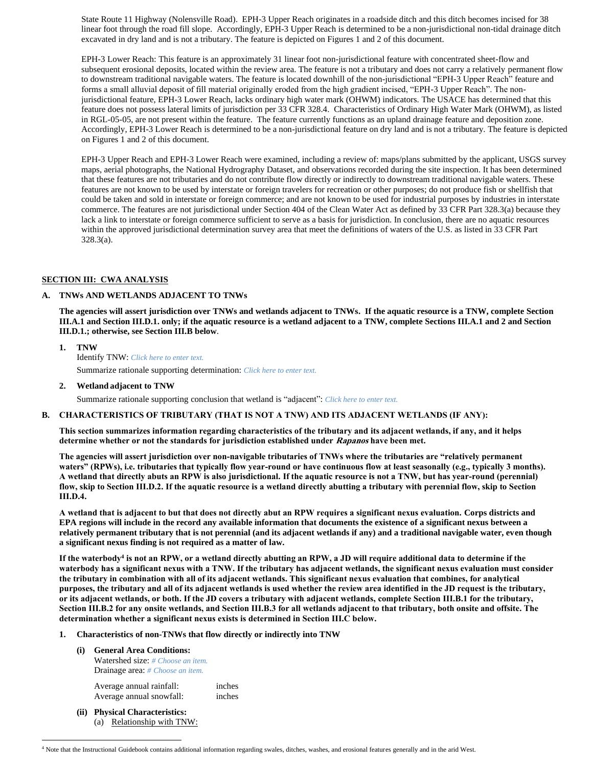State Route 11 Highway (Nolensville Road). EPH-3 Upper Reach originates in a roadside ditch and this ditch becomes incised for 38 linear foot through the road fill slope. Accordingly, EPH-3 Upper Reach is determined to be a non-jurisdictional non-tidal drainage ditch excavated in dry land and is not a tributary. The feature is depicted on Figures 1 and 2 of this document.

EPH-3 Lower Reach: This feature is an approximately 31 linear foot non-jurisdictional feature with concentrated sheet-flow and subsequent erosional deposits, located within the review area. The feature is not a tributary and does not carry a relatively permanent flow to downstream traditional navigable waters. The feature is located downhill of the non-jurisdictional "EPH-3 Upper Reach" feature and forms a small alluvial deposit of fill material originally eroded from the high gradient incised, "EPH-3 Upper Reach". The nonjurisdictional feature, EPH-3 Lower Reach, lacks ordinary high water mark (OHWM) indicators. The USACE has determined that this feature does not possess lateral limits of jurisdiction per 33 CFR 328.4. Characteristics of Ordinary High Water Mark (OHWM), as listed in RGL-05-05, are not present within the feature. The feature currently functions as an upland drainage feature and deposition zone. Accordingly, EPH-3 Lower Reach is determined to be a non-jurisdictional feature on dry land and is not a tributary. The feature is depicted on Figures 1 and 2 of this document.

EPH-3 Upper Reach and EPH-3 Lower Reach were examined, including a review of: maps/plans submitted by the applicant, USGS survey maps, aerial photographs, the National Hydrography Dataset, and observations recorded during the site inspection. It has been determined that these features are not tributaries and do not contribute flow directly or indirectly to downstream traditional navigable waters. These features are not known to be used by interstate or foreign travelers for recreation or other purposes; do not produce fish or shellfish that could be taken and sold in interstate or foreign commerce; and are not known to be used for industrial purposes by industries in interstate commerce. The features are not jurisdictional under Section 404 of the Clean Water Act as defined by 33 CFR Part 328.3(a) because they lack a link to interstate or foreign commerce sufficient to serve as a basis for jurisdiction. In conclusion, there are no aquatic resources within the approved jurisdictional determination survey area that meet the definitions of waters of the U.S. as listed in 33 CFR Part 328.3(a).

#### **SECTION III: CWA ANALYSIS**

#### **A. TNWs AND WETLANDS ADJACENT TO TNWs**

**The agencies will assert jurisdiction over TNWs and wetlands adjacent to TNWs. If the aquatic resource is a TNW, complete Section III.A.1 and Section III.D.1. only; if the aquatic resource is a wetland adjacent to a TNW, complete Sections III.A.1 and 2 and Section III.D.1.; otherwise, see Section III.B below**.

- **1. TNW**  Identify TNW: *Click here to enter text.* Summarize rationale supporting determination: *Click here to enter text.*
- **2. Wetland adjacent to TNW**

Summarize rationale supporting conclusion that wetland is "adjacent": *Click here to enter text.*

#### **B. CHARACTERISTICS OF TRIBUTARY (THAT IS NOT A TNW) AND ITS ADJACENT WETLANDS (IF ANY):**

**This section summarizes information regarding characteristics of the tributary and its adjacent wetlands, if any, and it helps determine whether or not the standards for jurisdiction established under Rapanos have been met.** 

**The agencies will assert jurisdiction over non-navigable tributaries of TNWs where the tributaries are "relatively permanent waters" (RPWs), i.e. tributaries that typically flow year-round or have continuous flow at least seasonally (e.g., typically 3 months). A wetland that directly abuts an RPW is also jurisdictional. If the aquatic resource is not a TNW, but has year-round (perennial) flow, skip to Section III.D.2. If the aquatic resource is a wetland directly abutting a tributary with perennial flow, skip to Section III.D.4.**

**A wetland that is adjacent to but that does not directly abut an RPW requires a significant nexus evaluation. Corps districts and EPA regions will include in the record any available information that documents the existence of a significant nexus between a relatively permanent tributary that is not perennial (and its adjacent wetlands if any) and a traditional navigable water, even though a significant nexus finding is not required as a matter of law.**

**If the waterbody<sup>4</sup> is not an RPW, or a wetland directly abutting an RPW, a JD will require additional data to determine if the waterbody has a significant nexus with a TNW. If the tributary has adjacent wetlands, the significant nexus evaluation must consider the tributary in combination with all of its adjacent wetlands. This significant nexus evaluation that combines, for analytical purposes, the tributary and all of its adjacent wetlands is used whether the review area identified in the JD request is the tributary, or its adjacent wetlands, or both. If the JD covers a tributary with adjacent wetlands, complete Section III.B.1 for the tributary, Section III.B.2 for any onsite wetlands, and Section III.B.3 for all wetlands adjacent to that tributary, both onsite and offsite. The determination whether a significant nexus exists is determined in Section III.C below.**

- **1. Characteristics of non-TNWs that flow directly or indirectly into TNW**
	- **(i) General Area Conditions:**

Watershed size: *# Choose an item.* Drainage area: *# Choose an item.*

Average annual rainfall: inches Average annual snowfall: inches

**(ii) Physical Characteristics:** (a) Relationship with TNW:

<sup>4</sup> Note that the Instructional Guidebook contains additional information regarding swales, ditches, washes, and erosional features generally and in the arid West.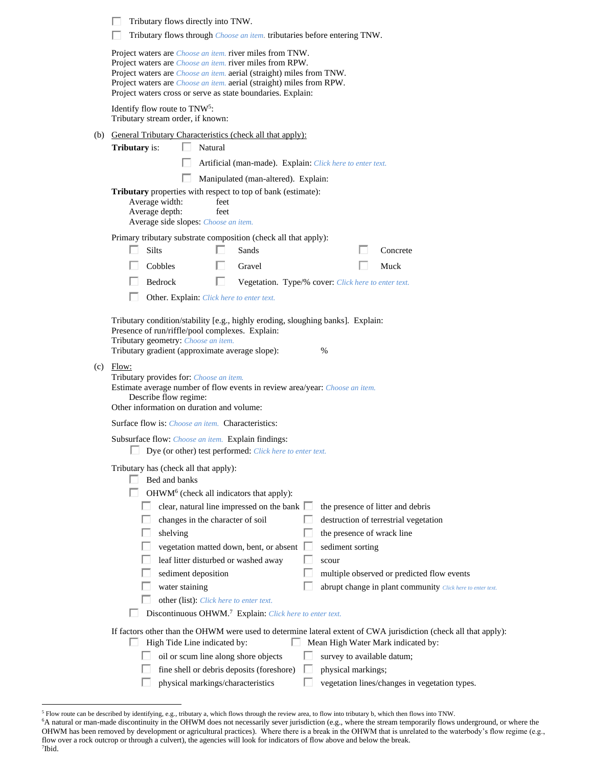| Tributary flows directly into TNW.                                                                                                                                                                                                                                                                                                                                                                                                                                                                                                                                                                  |  |  |  |  |  |
|-----------------------------------------------------------------------------------------------------------------------------------------------------------------------------------------------------------------------------------------------------------------------------------------------------------------------------------------------------------------------------------------------------------------------------------------------------------------------------------------------------------------------------------------------------------------------------------------------------|--|--|--|--|--|
| Tributary flows through <i>Choose an item</i> . tributaries before entering TNW.                                                                                                                                                                                                                                                                                                                                                                                                                                                                                                                    |  |  |  |  |  |
| Project waters are <i>Choose an item.</i> river miles from TNW.<br>Project waters are <i>Choose an item</i> . river miles from RPW.<br>Project waters are <i>Choose an item.</i> aerial (straight) miles from TNW.<br>Project waters are <i>Choose an item.</i> aerial (straight) miles from RPW.<br>Project waters cross or serve as state boundaries. Explain:                                                                                                                                                                                                                                    |  |  |  |  |  |
| Identify flow route to TNW <sup>5</sup> :<br>Tributary stream order, if known:                                                                                                                                                                                                                                                                                                                                                                                                                                                                                                                      |  |  |  |  |  |
| (b) General Tributary Characteristics (check all that apply):                                                                                                                                                                                                                                                                                                                                                                                                                                                                                                                                       |  |  |  |  |  |
| <b>Tributary</b> is:<br>$\mathbf{L}$<br>Natural                                                                                                                                                                                                                                                                                                                                                                                                                                                                                                                                                     |  |  |  |  |  |
| Artificial (man-made). Explain: Click here to enter text.                                                                                                                                                                                                                                                                                                                                                                                                                                                                                                                                           |  |  |  |  |  |
| Manipulated (man-altered). Explain:                                                                                                                                                                                                                                                                                                                                                                                                                                                                                                                                                                 |  |  |  |  |  |
| <b>Tributary</b> properties with respect to top of bank (estimate):<br>Average width:<br>feet<br>Average depth:<br>feet<br>Average side slopes: Choose an item.                                                                                                                                                                                                                                                                                                                                                                                                                                     |  |  |  |  |  |
| Primary tributary substrate composition (check all that apply):                                                                                                                                                                                                                                                                                                                                                                                                                                                                                                                                     |  |  |  |  |  |
| <b>Silts</b><br>Sands<br>Concrete                                                                                                                                                                                                                                                                                                                                                                                                                                                                                                                                                                   |  |  |  |  |  |
| Cobbles<br>H<br>Gravel<br>Muck                                                                                                                                                                                                                                                                                                                                                                                                                                                                                                                                                                      |  |  |  |  |  |
| Bedrock<br>П<br>Vegetation. Type/% cover: Click here to enter text.                                                                                                                                                                                                                                                                                                                                                                                                                                                                                                                                 |  |  |  |  |  |
| Ш<br>Other. Explain: Click here to enter text.                                                                                                                                                                                                                                                                                                                                                                                                                                                                                                                                                      |  |  |  |  |  |
| Tributary condition/stability [e.g., highly eroding, sloughing banks]. Explain:<br>Presence of run/riffle/pool complexes. Explain:<br>Tributary geometry: Choose an item.<br>Tributary gradient (approximate average slope):<br>%<br>$(c)$ Flow:<br>Tributary provides for: Choose an item.<br>Estimate average number of flow events in review area/year: Choose an item.<br>Describe flow regime:<br>Other information on duration and volume:                                                                                                                                                    |  |  |  |  |  |
| Surface flow is: <i>Choose an item.</i> Characteristics:                                                                                                                                                                                                                                                                                                                                                                                                                                                                                                                                            |  |  |  |  |  |
| Subsurface flow: <i>Choose an item.</i> Explain findings:<br>Dye (or other) test performed: Click here to enter text.                                                                                                                                                                                                                                                                                                                                                                                                                                                                               |  |  |  |  |  |
| Tributary has (check all that apply):<br>Bed and banks<br>OHWM <sup>6</sup> (check all indicators that apply):<br>clear, natural line impressed on the bank $\Box$<br>the presence of litter and debris<br>changes in the character of soil<br>destruction of terrestrial vegetation<br>shelving<br>the presence of wrack line<br>vegetation matted down, bent, or absent<br>sediment sorting<br>leaf litter disturbed or washed away<br>scour<br>sediment deposition<br>multiple observed or predicted flow events<br>water staining<br>abrupt change in plant community Click here to enter text. |  |  |  |  |  |
| other (list): Click here to enter text.                                                                                                                                                                                                                                                                                                                                                                                                                                                                                                                                                             |  |  |  |  |  |
| Discontinuous OHWM. <sup>7</sup> Explain: Click here to enter text.<br>If factors other than the OHWM were used to determine lateral extent of CWA jurisdiction (check all that apply):                                                                                                                                                                                                                                                                                                                                                                                                             |  |  |  |  |  |
| High Tide Line indicated by:<br>Mean High Water Mark indicated by:                                                                                                                                                                                                                                                                                                                                                                                                                                                                                                                                  |  |  |  |  |  |
| oil or scum line along shore objects<br>survey to available datum;                                                                                                                                                                                                                                                                                                                                                                                                                                                                                                                                  |  |  |  |  |  |
| fine shell or debris deposits (foreshore)<br>physical markings;<br>ы                                                                                                                                                                                                                                                                                                                                                                                                                                                                                                                                |  |  |  |  |  |
| physical markings/characteristics<br>vegetation lines/changes in vegetation types.                                                                                                                                                                                                                                                                                                                                                                                                                                                                                                                  |  |  |  |  |  |

<sup>5</sup> Flow route can be described by identifying, e.g., tributary a, which flows through the review area, to flow into tributary b, which then flows into TNW.

<sup>&</sup>lt;sup>6</sup>A natural or man-made discontinuity in the OHWM does not necessarily sever jurisdiction (e.g., where the stream temporarily flows underground, or where the OHWM has been removed by development or agricultural practices). Where there is a break in the OHWM that is unrelated to the waterbody's flow regime (e.g., flow over a rock outcrop or through a culvert), the agencies will look for indicators of flow above and below the break. 7 Ibid.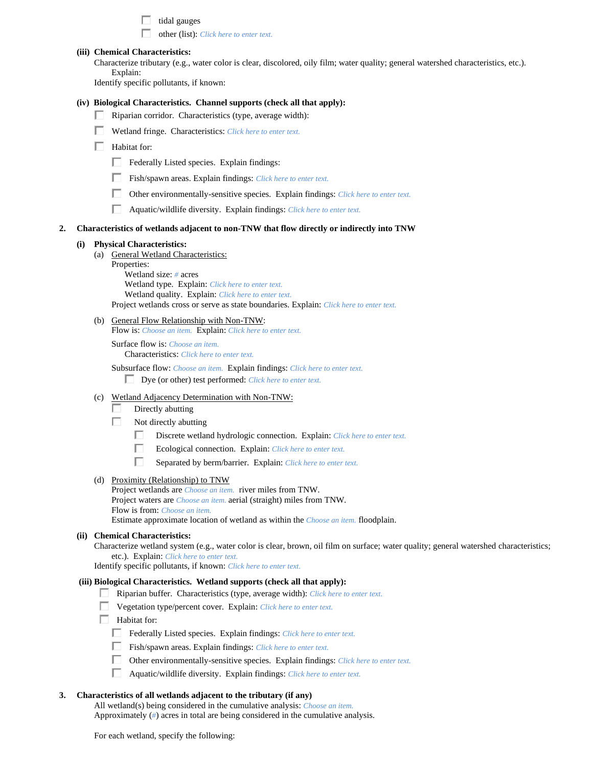|    |     | tidal gauges<br>other (list): Click here to enter text.                                                                                                                                                                                                                                                                                                                                                                                                                                                                                                                          |
|----|-----|----------------------------------------------------------------------------------------------------------------------------------------------------------------------------------------------------------------------------------------------------------------------------------------------------------------------------------------------------------------------------------------------------------------------------------------------------------------------------------------------------------------------------------------------------------------------------------|
|    |     | (iii) Chemical Characteristics:<br>Characterize tributary (e.g., water color is clear, discolored, oily film; water quality; general watershed characteristics, etc.).<br>Explain:<br>Identify specific pollutants, if known:                                                                                                                                                                                                                                                                                                                                                    |
|    |     | (iv) Biological Characteristics. Channel supports (check all that apply):<br>Riparian corridor. Characteristics (type, average width):<br>Wetland fringe. Characteristics: Click here to enter text.<br>Habitat for:<br>ш<br>Federally Listed species. Explain findings:<br>Fish/spawn areas. Explain findings: Click here to enter text.<br>Other environmentally-sensitive species. Explain findings: Click here to enter text.<br>H<br>П<br>Aquatic/wildlife diversity. Explain findings: Click here to enter text.                                                           |
| 2. |     | Characteristics of wetlands adjacent to non-TNW that flow directly or indirectly into TNW                                                                                                                                                                                                                                                                                                                                                                                                                                                                                        |
|    | (i) | <b>Physical Characteristics:</b><br>(a) General Wetland Characteristics:<br>Properties:<br>Wetland size: # acres<br>Wetland type. Explain: Click here to enter text.<br>Wetland quality. Explain: Click here to enter text.<br>Project wetlands cross or serve as state boundaries. Explain: Click here to enter text.<br>(b) General Flow Relationship with Non-TNW:<br>Flow is: Choose an item. Explain: Click here to enter text.                                                                                                                                             |
|    | (c) | Surface flow is: Choose an item.<br>Characteristics: Click here to enter text.<br>Subsurface flow: Choose an item. Explain findings: Click here to enter text.<br>Dye (or other) test performed: Click here to enter text.<br>Wetland Adjacency Determination with Non-TNW:<br>Directly abutting<br>Not directly abutting<br>Ш<br>Discrete wetland hydrologic connection. Explain: Click here to enter text.                                                                                                                                                                     |
|    |     | Ecological connection. Explain: Click here to enter text.<br>Separated by berm/barrier. Explain: Click here to enter text.                                                                                                                                                                                                                                                                                                                                                                                                                                                       |
|    |     | (d) Proximity (Relationship) to TNW<br>Project wetlands are <i>Choose an item.</i> river miles from TNW.<br>Project waters are <i>Choose an item.</i> aerial (straight) miles from TNW.<br>Flow is from: Choose an item.<br>Estimate approximate location of wetland as within the Choose an item. floodplain.                                                                                                                                                                                                                                                                   |
|    |     | (ii) Chemical Characteristics:<br>Characterize wetland system (e.g., water color is clear, brown, oil film on surface; water quality; general watershed characteristics;<br>etc.). Explain: Click here to enter text.<br>Identify specific pollutants, if known: Click here to enter text.                                                                                                                                                                                                                                                                                       |
|    |     | (iii) Biological Characteristics. Wetland supports (check all that apply):<br>Riparian buffer. Characteristics (type, average width): Click here to enter text.<br>Vegetation type/percent cover. Explain: Click here to enter text.<br>Habitat for:<br>$\Box$<br>Federally Listed species. Explain findings: Click here to enter text.<br>Fish/spawn areas. Explain findings: Click here to enter text.<br>Other environmentally-sensitive species. Explain findings: Click here to enter text.<br>П<br>Aquatic/wildlife diversity. Explain findings: Click here to enter text. |
| 3. |     | Characteristics of all wetlands adjacent to the tributary (if any)<br>All wetland(s) being considered in the cumulative analysis: Choose an item.                                                                                                                                                                                                                                                                                                                                                                                                                                |

For each wetland, specify the following:

Approximately (*#*) acres in total are being considered in the cumulative analysis.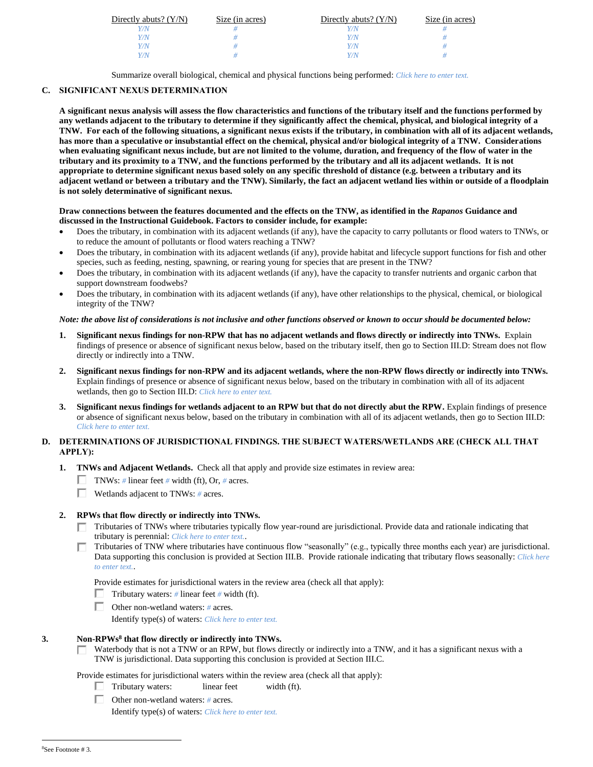| Directly abuts? $(Y/N)$ | Size (in acres) | Directly abuts? $(Y/N)$ | Size (in acres) |
|-------------------------|-----------------|-------------------------|-----------------|
|                         |                 |                         |                 |
| Y/N                     |                 | Y/N                     |                 |
| Y/N                     |                 | V/N                     |                 |
| V/N                     |                 | V/M                     |                 |

Summarize overall biological, chemical and physical functions being performed: *Click here to enter text.*

# **C. SIGNIFICANT NEXUS DETERMINATION**

**A significant nexus analysis will assess the flow characteristics and functions of the tributary itself and the functions performed by any wetlands adjacent to the tributary to determine if they significantly affect the chemical, physical, and biological integrity of a TNW. For each of the following situations, a significant nexus exists if the tributary, in combination with all of its adjacent wetlands, has more than a speculative or insubstantial effect on the chemical, physical and/or biological integrity of a TNW. Considerations when evaluating significant nexus include, but are not limited to the volume, duration, and frequency of the flow of water in the tributary and its proximity to a TNW, and the functions performed by the tributary and all its adjacent wetlands. It is not appropriate to determine significant nexus based solely on any specific threshold of distance (e.g. between a tributary and its adjacent wetland or between a tributary and the TNW). Similarly, the fact an adjacent wetland lies within or outside of a floodplain is not solely determinative of significant nexus.** 

#### **Draw connections between the features documented and the effects on the TNW, as identified in the** *Rapanos* **Guidance and discussed in the Instructional Guidebook. Factors to consider include, for example:**

- Does the tributary, in combination with its adjacent wetlands (if any), have the capacity to carry pollutants or flood waters to TNWs, or to reduce the amount of pollutants or flood waters reaching a TNW?
- Does the tributary, in combination with its adjacent wetlands (if any), provide habitat and lifecycle support functions for fish and other species, such as feeding, nesting, spawning, or rearing young for species that are present in the TNW?
- Does the tributary, in combination with its adjacent wetlands (if any), have the capacity to transfer nutrients and organic carbon that support downstream foodwebs?
- Does the tributary, in combination with its adjacent wetlands (if any), have other relationships to the physical, chemical, or biological integrity of the TNW?

## *Note: the above list of considerations is not inclusive and other functions observed or known to occur should be documented below:*

- **1. Significant nexus findings for non-RPW that has no adjacent wetlands and flows directly or indirectly into TNWs.** Explain findings of presence or absence of significant nexus below, based on the tributary itself, then go to Section III.D: Stream does not flow directly or indirectly into a TNW.
- **2. Significant nexus findings for non-RPW and its adjacent wetlands, where the non-RPW flows directly or indirectly into TNWs.**  Explain findings of presence or absence of significant nexus below, based on the tributary in combination with all of its adjacent wetlands, then go to Section III.D: *Click here to enter text.*
- **3. Significant nexus findings for wetlands adjacent to an RPW but that do not directly abut the RPW.** Explain findings of presence or absence of significant nexus below, based on the tributary in combination with all of its adjacent wetlands, then go to Section III.D: *Click here to enter text.*

## **D. DETERMINATIONS OF JURISDICTIONAL FINDINGS. THE SUBJECT WATERS/WETLANDS ARE (CHECK ALL THAT APPLY):**

- **1. TNWs and Adjacent Wetlands.** Check all that apply and provide size estimates in review area:
	- TNWs: *#* linear feet *#* width (ft), Or, *#* acres.
	- Wetlands adjacent to TNWs: *#* acres.

# **2. RPWs that flow directly or indirectly into TNWs.**

- Tributaries of TNWs where tributaries typically flow year-round are jurisdictional. Provide data and rationale indicating that tributary is perennial: *Click here to enter text.*.
- Tributaries of TNW where tributaries have continuous flow "seasonally" (e.g., typically three months each year) are jurisdictional. Data supporting this conclusion is provided at Section III.B. Provide rationale indicating that tributary flows seasonally: *Click here to enter text.*.

Provide estimates for jurisdictional waters in the review area (check all that apply):

- Tributary waters:  $\#$  linear feet  $\#$  width (ft).
- Other non-wetland waters: *#* acres.

Identify type(s) of waters: *Click here to enter text.*

## **3. Non-RPWs<sup>8</sup> that flow directly or indirectly into TNWs.**

 $\Box$  Waterbody that is not a TNW or an RPW, but flows directly or indirectly into a TNW, and it has a significant nexus with a TNW is jurisdictional. Data supporting this conclusion is provided at Section III.C.

Provide estimates for jurisdictional waters within the review area (check all that apply):

- Tributary waters: linear feet width (ft).  $\mathbf{L}$
- Other non-wetland waters: *#* acres.

Identify type(s) of waters: *Click here to enter text.*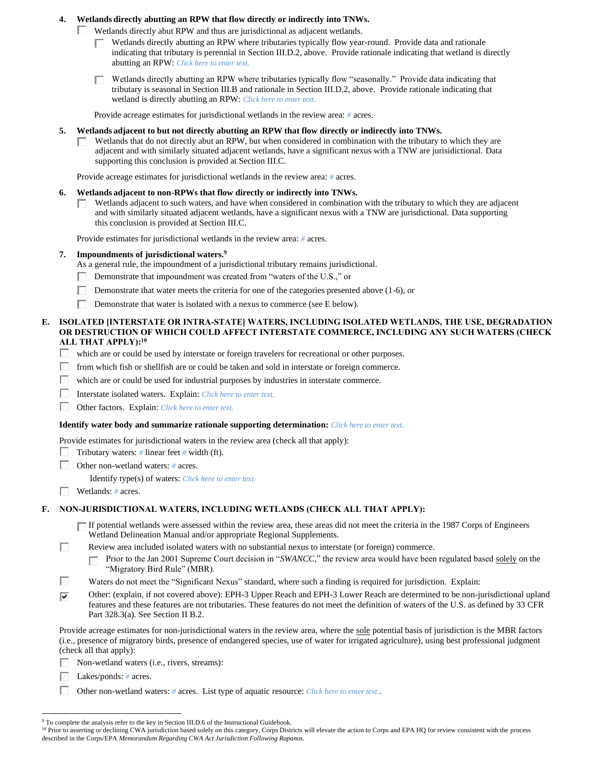## **4. Wetlands directly abutting an RPW that flow directly or indirectly into TNWs.**

Wetlands directly abut RPW and thus are jurisdictional as adjacent wetlands.

- Wetlands directly abutting an RPW where tributaries typically flow year-round. Provide data and rationale indicating that tributary is perennial in Section III.D.2, above. Provide rationale indicating that wetland is directly abutting an RPW: *Click here to enter text.*
- Wetlands directly abutting an RPW where tributaries typically flow "seasonally." Provide data indicating that п. tributary is seasonal in Section III.B and rationale in Section III.D.2, above. Provide rationale indicating that wetland is directly abutting an RPW: *Click here to enter text.*

Provide acreage estimates for jurisdictional wetlands in the review area: *#* acres.

- **5. Wetlands adjacent to but not directly abutting an RPW that flow directly or indirectly into TNWs.**
	- Wetlands that do not directly abut an RPW, but when considered in combination with the tributary to which they are adjacent and with similarly situated adjacent wetlands, have a significant nexus with a TNW are jurisidictional. Data supporting this conclusion is provided at Section III.C.

Provide acreage estimates for jurisdictional wetlands in the review area: *#* acres.

- **6. Wetlands adjacent to non-RPWs that flow directly or indirectly into TNWs.** 
	- Wetlands adjacent to such waters, and have when considered in combination with the tributary to which they are adjacent and with similarly situated adjacent wetlands, have a significant nexus with a TNW are jurisdictional. Data supporting this conclusion is provided at Section III.C.

Provide estimates for jurisdictional wetlands in the review area: *#* acres.

- **7. Impoundments of jurisdictional waters. 9**
	- As a general rule, the impoundment of a jurisdictional tributary remains jurisdictional.
	- Demonstrate that impoundment was created from "waters of the U.S.," or
	- П. Demonstrate that water meets the criteria for one of the categories presented above (1-6), or
	- Demonstrate that water is isolated with a nexus to commerce (see E below).
- **E. ISOLATED [INTERSTATE OR INTRA-STATE] WATERS, INCLUDING ISOLATED WETLANDS, THE USE, DEGRADATION OR DESTRUCTION OF WHICH COULD AFFECT INTERSTATE COMMERCE, INCLUDING ANY SUCH WATERS (CHECK ALL THAT APPLY):<sup>10</sup>**
	- П. which are or could be used by interstate or foreign travelers for recreational or other purposes.
	- П. from which fish or shellfish are or could be taken and sold in interstate or foreign commerce.
	- П which are or could be used for industrial purposes by industries in interstate commerce.
	- П Interstate isolated waters.Explain: *Click here to enter text.*
	- Г Other factors.Explain: *Click here to enter text.*

#### **Identify water body and summarize rationale supporting determination:** *Click here to enter text.*

Provide estimates for jurisdictional waters in the review area (check all that apply):

- Tributary waters:  $\#$  linear feet  $\#$  width (ft).
- Other non-wetland waters: *#* acres.
	- Identify type(s) of waters: *Click here to enter text.*
- Wetlands: *#* acres.

#### **F. NON-JURISDICTIONAL WATERS, INCLUDING WETLANDS (CHECK ALL THAT APPLY):**

If potential wetlands were assessed within the review area, these areas did not meet the criteria in the 1987 Corps of Engineers Wetland Delineation Manual and/or appropriate Regional Supplements.

п Review area included isolated waters with no substantial nexus to interstate (or foreign) commerce.

Prior to the Jan 2001 Supreme Court decision in "SWANCC," the review area would have been regulated based solely on the П "Migratory Bird Rule" (MBR).

П Waters do not meet the "Significant Nexus" standard, where such a finding is required for jurisdiction. Explain:

⊽ Other: (explain, if not covered above): EPH-3 Upper Reach and EPH-3 Lower Reach are determined to be non-jurisdictional upland features and these features are not tributaries. These features do not meet the definition of waters of the U.S. as defined by 33 CFR Part 328.3(a). See Section II B.2.

Provide acreage estimates for non-jurisdictional waters in the review area, where the sole potential basis of jurisdiction is the MBR factors (i.e., presence of migratory birds, presence of endangered species, use of water for irrigated agriculture), using best professional judgment (check all that apply):

Г Non-wetland waters (i.e., rivers, streams):

Lakes/ponds: *#* acres.

П. Other non-wetland waters: *#* acres. List type of aquatic resource: *Click here to enter text.*.

<sup>&</sup>lt;sup>9</sup> To complete the analysis refer to the key in Section III.D.6 of the Instructional Guidebook.

<sup>&</sup>lt;sup>10</sup> Prior to asserting or declining CWA jurisdiction based solely on this category, Corps Districts will elevate the action to Corps and EPA HQ for review consistent with the process described in the Corps/EPA *Memorandum Regarding CWA Act Jurisdiction Following Rapanos.*